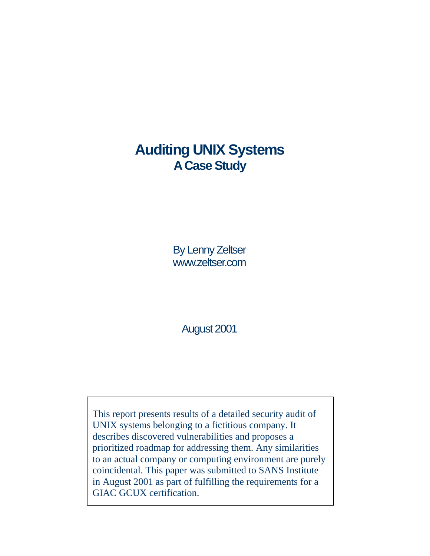# **Auditing UNIX Systems A Case Study**

By Lenny Zeltser www.zeltser.com

August 2001

This report presents results of a detailed security audit of UNIX systems belonging to a fictitious company. It describes discovered vulnerabilities and proposes a prioritized roadmap for addressing them. Any similarities to an actual company or computing environment are purely coincidental. This paper was submitted to SANS Institute in August 2001 as part of fulfilling the requirements for a GIAC GCUX certification.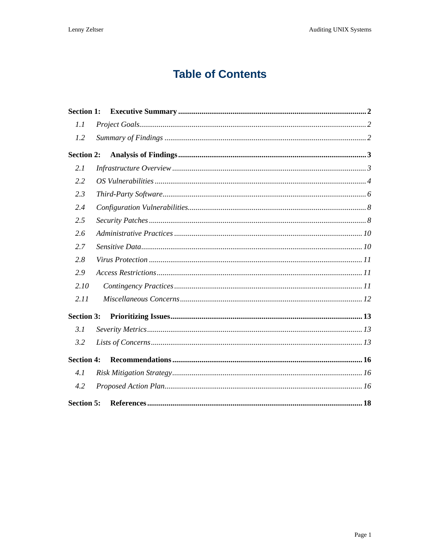# **Table of Contents**

| <b>Section 1:</b> |  |
|-------------------|--|
| 1.1               |  |
| 1.2               |  |
| <b>Section 2:</b> |  |
| 2.1               |  |
| 2.2               |  |
| 2.3               |  |
| 2.4               |  |
| 2.5               |  |
| 2.6               |  |
| 2.7               |  |
| 2.8               |  |
| 2.9               |  |
| 2.10              |  |
| 2.11              |  |
| <b>Section 3:</b> |  |
| 3.1               |  |
| 3.2               |  |
| <b>Section 4:</b> |  |
| 4.1               |  |
| 4.2               |  |
| <b>Section 5:</b> |  |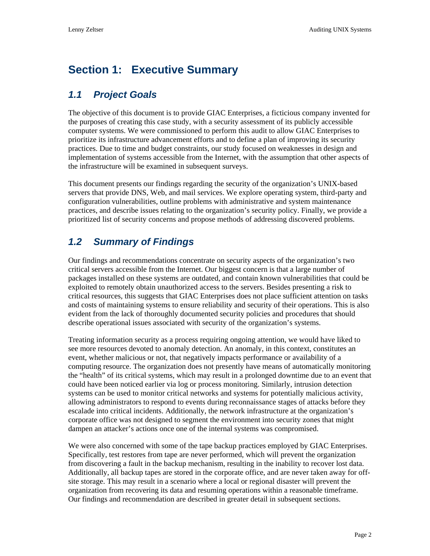## <span id="page-2-0"></span>**Section 1: Executive Summary**

#### *1.1 Project Goals*

The objective of this document is to provide GIAC Enterprises, a ficticious company invented for the purposes of creating this case study, with a security assessment of its publicly accessible computer systems. We were commissioned to perform this audit to allow GIAC Enterprises to prioritize its infrastructure advancement efforts and to define a plan of improving its security practices. Due to time and budget constraints, our study focused on weaknesses in design and implementation of systems accessible from the Internet, with the assumption that other aspects of the infrastructure will be examined in subsequent surveys.

This document presents our findings regarding the security of the organization's UNIX-based servers that provide DNS, Web, and mail services. We explore operating system, third-party and configuration vulnerabilities, outline problems with administrative and system maintenance practices, and describe issues relating to the organization's security policy. Finally, we provide a prioritized list of security concerns and propose methods of addressing discovered problems.

#### *1.2 Summary of Findings*

Our findings and recommendations concentrate on security aspects of the organization's two critical servers accessible from the Internet. Our biggest concern is that a large number of packages installed on these systems are outdated, and contain known vulnerabilities that could be exploited to remotely obtain unauthorized access to the servers. Besides presenting a risk to critical resources, this suggests that GIAC Enterprises does not place sufficient attention on tasks and costs of maintaining systems to ensure reliability and security of their operations. This is also evident from the lack of thoroughly documented security policies and procedures that should describe operational issues associated with security of the organization's systems.

Treating information security as a process requiring ongoing attention, we would have liked to see more resources devoted to anomaly detection. An anomaly, in this context, constitutes an event, whether malicious or not, that negatively impacts performance or availability of a computing resource. The organization does not presently have means of automatically monitoring the "health" of its critical systems, which may result in a prolonged downtime due to an event that could have been noticed earlier via log or process monitoring. Similarly, intrusion detection systems can be used to monitor critical networks and systems for potentially malicious activity, allowing administrators to respond to events during reconnaissance stages of attacks before they escalade into critical incidents. Additionally, the network infrastructure at the organization's corporate office was not designed to segment the environment into security zones that might dampen an attacker's actions once one of the internal systems was compromised.

We were also concerned with some of the tape backup practices employed by GIAC Enterprises. Specifically, test restores from tape are never performed, which will prevent the organization from discovering a fault in the backup mechanism, resulting in the inability to recover lost data. Additionally, all backup tapes are stored in the corporate office, and are never taken away for offsite storage. This may result in a scenario where a local or regional disaster will prevent the organization from recovering its data and resuming operations within a reasonable timeframe. Our findings and recommendation are described in greater detail in subsequent sections.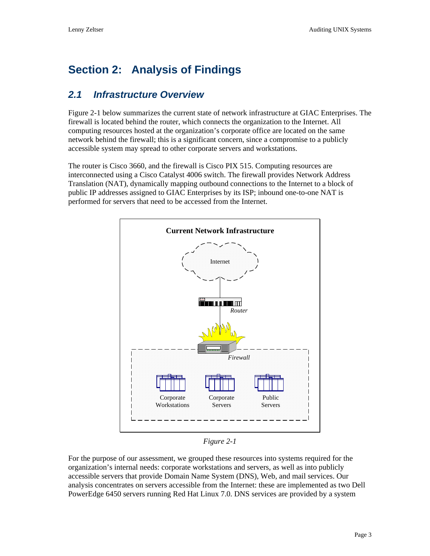## <span id="page-3-0"></span>**Section 2: Analysis of Findings**

#### *2.1 Infrastructure Overview*

[Figure 2-1](#page-3-1) below summarizes the current state of network infrastructure at GIAC Enterprises. The firewall is located behind the router, which connects the organization to the Internet. All computing resources hosted at the organization's corporate office are located on the same network behind the firewall; this is a significant concern, since a compromise to a publicly accessible system may spread to other corporate servers and workstations.

The router is Cisco 3660, and the firewall is Cisco PIX 515. Computing resources are interconnected using a Cisco Catalyst 4006 switch. The firewall provides Network Address Translation (NAT), dynamically mapping outbound connections to the Internet to a block of public IP addresses assigned to GIAC Enterprises by its ISP; inbound one-to-one NAT is performed for servers that need to be accessed from the Internet.



<span id="page-3-1"></span>*Figure 2-1* 

For the purpose of our assessment, we grouped these resources into systems required for the organization's internal needs: corporate workstations and servers, as well as into publicly accessible servers that provide Domain Name System (DNS), Web, and mail services. Our analysis concentrates on servers accessible from the Internet: these are implemented as two Dell PowerEdge 6450 servers running Red Hat Linux 7.0. DNS services are provided by a system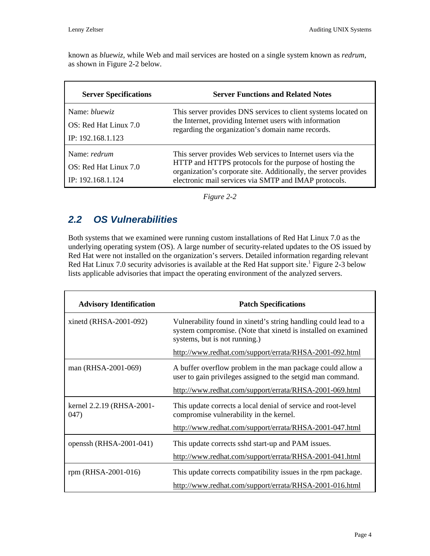<span id="page-4-0"></span>known as *bluewiz*, while Web and mail services are hosted on a single system known as *redrum*, as shown in Figure 2-2 below.

| <b>Server Specifications</b> | <b>Server Functions and Related Notes</b>                                                                                                                                            |  |
|------------------------------|--------------------------------------------------------------------------------------------------------------------------------------------------------------------------------------|--|
| Name: <i>bluewiz</i>         | This server provides DNS services to client systems located on                                                                                                                       |  |
| OS: Red Hat Linux 7.0        | the Internet, providing Internet users with information<br>regarding the organization's domain name records.                                                                         |  |
| IP: 192.168.1.123            |                                                                                                                                                                                      |  |
| Name: <i>redrum</i>          | This server provides Web services to Internet users via the                                                                                                                          |  |
| OS: Red Hat Linux 7.0        | HTTP and HTTPS protocols for the purpose of hosting the<br>organization's corporate site. Additionally, the server provides<br>electronic mail services via SMTP and IMAP protocols. |  |
| IP: 192.168.1.124            |                                                                                                                                                                                      |  |

*Figure 2-2* 

#### *2.2 OS Vulnerabilities*

Both systems that we examined were running custom installations of Red Hat Linux 7.0 as the underlying operating system (OS). A large number of security-related updates to the OS issued by Red Hat were not installed on the organization's servers. Detailed information regarding relevant Red Hat Linux 7.0 security advisories is available at the Red Hat support site.<sup>1</sup> Figure 2-3 below lists applicable advisories that impact the operating environment of the analy[ze](#page-18-1)[d servers.](#page-5-0) 

| <b>Advisory Identification</b>    | <b>Patch Specifications</b>                                                                                                                                       |  |
|-----------------------------------|-------------------------------------------------------------------------------------------------------------------------------------------------------------------|--|
| xinetd (RHSA-2001-092)            | Vulnerability found in xinetd's string handling could lead to a<br>system compromise. (Note that xinetd is installed on examined<br>systems, but is not running.) |  |
|                                   | http://www.redhat.com/support/errata/RHSA-2001-092.html                                                                                                           |  |
| man (RHSA-2001-069)               | A buffer overflow problem in the man package could allow a<br>user to gain privileges assigned to the setgid man command.                                         |  |
|                                   | http://www.redhat.com/support/errata/RHSA-2001-069.html                                                                                                           |  |
| kernel 2.2.19 (RHSA-2001-<br>047) | This update corrects a local denial of service and root-level<br>compromise vulnerability in the kernel.                                                          |  |
|                                   | http://www.redhat.com/support/errata/RHSA-2001-047.html                                                                                                           |  |
| openssh (RHSA-2001-041)           | This update corrects sshd start-up and PAM issues.                                                                                                                |  |
|                                   | http://www.redhat.com/support/errata/RHSA-2001-041.html                                                                                                           |  |
| rpm (RHSA-2001-016)               | This update corrects compatibility issues in the rpm package.                                                                                                     |  |
|                                   | http://www.redhat.com/support/errata/RHSA-2001-016.html                                                                                                           |  |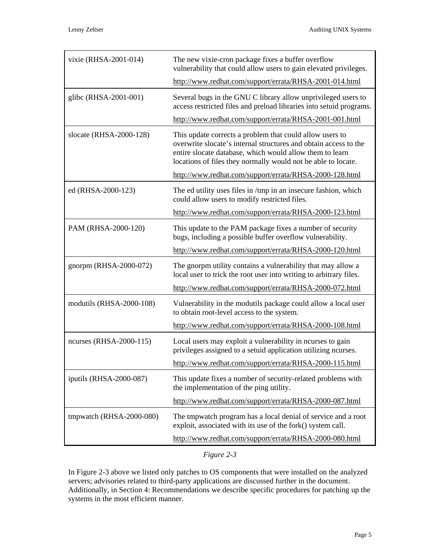| vixie (RHSA-2001-014)    | The new vixie-cron package fixes a buffer overflow<br>vulnerability that could allow users to gain elevated privileges.                                                                                                                                   |  |
|--------------------------|-----------------------------------------------------------------------------------------------------------------------------------------------------------------------------------------------------------------------------------------------------------|--|
|                          | http://www.redhat.com/support/errata/RHSA-2001-014.html                                                                                                                                                                                                   |  |
| glibc (RHSA-2001-001)    | Several bugs in the GNU C library allow unprivileged users to<br>access restricted files and preload libraries into setuid programs.                                                                                                                      |  |
|                          | http://www.redhat.com/support/errata/RHSA-2001-001.html                                                                                                                                                                                                   |  |
| slocate (RHSA-2000-128)  | This update corrects a problem that could allow users to<br>overwrite slocate's internal structures and obtain access to the<br>entire slocate database, which would allow them to learn<br>locations of files they normally would not be able to locate. |  |
|                          | http://www.redhat.com/support/errata/RHSA-2000-128.html                                                                                                                                                                                                   |  |
| ed (RHSA-2000-123)       | The ed utility uses files in /tmp in an insecure fashion, which<br>could allow users to modify restricted files.                                                                                                                                          |  |
|                          | http://www.redhat.com/support/errata/RHSA-2000-123.html                                                                                                                                                                                                   |  |
| PAM (RHSA-2000-120)      | This update to the PAM package fixes a number of security<br>bugs, including a possible buffer overflow vulnerability.                                                                                                                                    |  |
|                          | http://www.redhat.com/support/errata/RHSA-2000-120.html                                                                                                                                                                                                   |  |
| gnorpm (RHSA-2000-072)   | The gnorpm utility contains a vulnerability that may allow a<br>local user to trick the root user into writing to arbitrary files.                                                                                                                        |  |
|                          | http://www.redhat.com/support/errata/RHSA-2000-072.html                                                                                                                                                                                                   |  |
| modutils (RHSA-2000-108) | Vulnerability in the modutils package could allow a local user<br>to obtain root-level access to the system.                                                                                                                                              |  |
|                          | http://www.redhat.com/support/errata/RHSA-2000-108.html                                                                                                                                                                                                   |  |
| ncurses (RHSA-2000-115)  | Local users may exploit a vulnerability in neurses to gain<br>privileges assigned to a setuid application utilizing neurses.                                                                                                                              |  |
|                          | http://www.redhat.com/support/errata/RHSA-2000-115.html                                                                                                                                                                                                   |  |
| iputils (RHSA-2000-087)  | This update fixes a number of security-related problems with<br>the implementation of the ping utility.                                                                                                                                                   |  |
|                          | http://www.redhat.com/support/errata/RHSA-2000-087.html                                                                                                                                                                                                   |  |
| tmpwatch (RHSA-2000-080) | The tmpwatch program has a local denial of service and a root<br>exploit, associated with its use of the fork() system call.                                                                                                                              |  |
|                          | http://www.redhat.com/support/errata/RHSA-2000-080.html                                                                                                                                                                                                   |  |

<span id="page-5-0"></span>*Figure 2-3* 

In Figure 2-3 above we listed only patches to OS components that were installed on the analyzed se[rvers; adviso](#page-5-0)ries related to third-party applications are discussed further in the document. Additionally, in Section 4: Recommendations we describe specific procedures for patching up the systems in the m[ost efficient manner.](#page-16-1)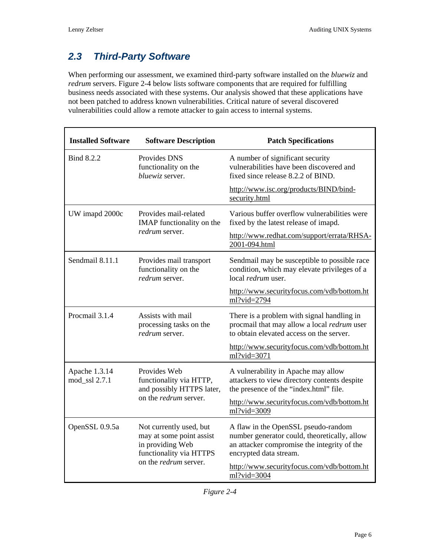### <span id="page-6-0"></span>*2.3 Third-Party Software*

When performing our assessment, we examined third-party software installed on the *bluewiz* and *redrum* servers. Figure 2-4 below lists software components that are required for fulfilling business needs a[ssociated w](#page-6-1)ith these systems. Our analysis showed that these applications have not been patched to address known vulnerabilities. Critical nature of several discovered vulnerabilities could allow a remote attacker to gain access to internal systems.

| <b>Installed Software</b>                                                                              | <b>Software Description</b>                                                                                                        | <b>Patch Specifications</b>                                                                                                                                  |
|--------------------------------------------------------------------------------------------------------|------------------------------------------------------------------------------------------------------------------------------------|--------------------------------------------------------------------------------------------------------------------------------------------------------------|
| Bind 8.2.2                                                                                             | Provides DNS<br>functionality on the<br>bluewiz server.                                                                            | A number of significant security<br>vulnerabilities have been discovered and<br>fixed since release 8.2.2 of BIND.                                           |
|                                                                                                        |                                                                                                                                    | http://www.isc.org/products/BIND/bind-<br>security.html                                                                                                      |
| UW imapd 2000c                                                                                         | Provides mail-related<br>IMAP functionality on the                                                                                 | Various buffer overflow vulnerabilities were<br>fixed by the latest release of imapd.                                                                        |
|                                                                                                        | <i>redrum</i> server.                                                                                                              | http://www.redhat.com/support/errata/RHSA-<br>2001-094.html                                                                                                  |
| Sendmail 8.11.1                                                                                        | Provides mail transport<br>functionality on the<br>redrum server.                                                                  | Sendmail may be susceptible to possible race<br>condition, which may elevate privileges of a<br>local redrum user.                                           |
|                                                                                                        |                                                                                                                                    | http://www.securityfocus.com/vdb/bottom.ht<br>ml?vid=2794                                                                                                    |
| Procmail 3.1.4                                                                                         | Assists with mail<br>processing tasks on the<br>redrum server.                                                                     | There is a problem with signal handling in<br>procmail that may allow a local <i>redrum</i> user<br>to obtain elevated access on the server.                 |
|                                                                                                        |                                                                                                                                    | http://www.securityfocus.com/vdb/bottom.ht<br>ml?vid=3071                                                                                                    |
| Apache 1.3.14<br>Provides Web<br>functionality via HTTP,<br>mod_ssl 2.7.1<br>and possibly HTTPS later, |                                                                                                                                    | A vulnerability in Apache may allow<br>attackers to view directory contents despite<br>the presence of the "index.html" file.                                |
|                                                                                                        | on the <i>redrum</i> server.                                                                                                       | http://www.securityfocus.com/vdb/bottom.ht<br>ml?vid=3009                                                                                                    |
| OpenSSL 0.9.5a                                                                                         | Not currently used, but<br>may at some point assist<br>in providing Web<br>functionality via HTTPS<br>on the <i>redrum</i> server. | A flaw in the OpenSSL pseudo-random<br>number generator could, theoretically, allow<br>an attacker compromise the integrity of the<br>encrypted data stream. |
|                                                                                                        |                                                                                                                                    | http://www.securityfocus.com/vdb/bottom.ht<br>ml?vid=3004                                                                                                    |

<span id="page-6-1"></span>

|  | 1 o u re |  |
|--|----------|--|
|--|----------|--|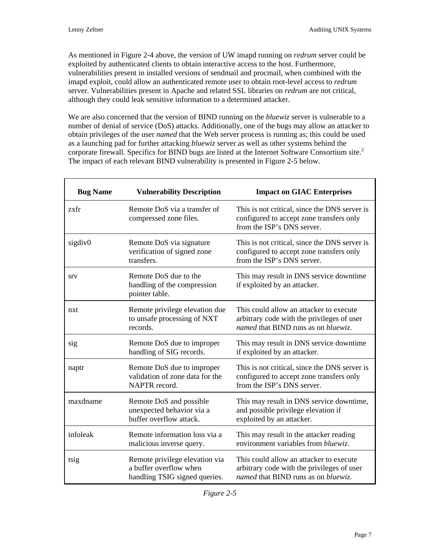As mentioned in Figure 2-4 above, the version of UW imapd running on *redrum* server could be exploited by auth[enticated cl](#page-6-1)ients to obtain interactive access to the host. Furthermore, vulnerabilities present in installed versions of sendmail and procmail, when combined with the imapd exploit, could allow an authenticated remote user to obtain root-level access to *redrum* server. Vulnerabilities present in Apache and related SSL libraries on *redrum* are not critical, although they could leak sensitive information to a determined attacker.

We are also concerned that the version of BIND running on the *bluewiz* server is vulnerable to a number of denial of service (DoS) attacks. Additionally, one of the bugs may allow an attacker to obtain privileges of the user *named* that the Web server process is running as; this could be used as a launching pad for further attacking *bluewiz* server as well as other systems behind the corporate firewall. Specifics for BIND bugs are listed at the Internet Software Consortium site.<sup>2</sup> The impact of each relevant BIND vulnerability is presented in Figure 2-5 below.

| <b>Bug Name</b> | <b>Vulnerability Description</b>                                                          | <b>Impact on GIAC Enterprises</b>                                                                                            |
|-----------------|-------------------------------------------------------------------------------------------|------------------------------------------------------------------------------------------------------------------------------|
| zxfr            | Remote DoS via a transfer of<br>compressed zone files.                                    | This is not critical, since the DNS server is<br>configured to accept zone transfers only<br>from the ISP's DNS server.      |
| sigdiv0         | Remote DoS via signature<br>verification of signed zone<br>transfers.                     | This is not critical, since the DNS server is<br>configured to accept zone transfers only<br>from the ISP's DNS server.      |
| <b>STV</b>      | Remote DoS due to the<br>handling of the compression<br>pointer table.                    | This may result in DNS service downtime<br>if exploited by an attacker.                                                      |
| nxt             | Remote privilege elevation due<br>to unsafe processing of NXT<br>records.                 | This could allow an attacker to execute<br>arbitrary code with the privileges of user<br>named that BIND runs as on bluewiz. |
| sig             | Remote DoS due to improper<br>handling of SIG records.                                    | This may result in DNS service downtime<br>if exploited by an attacker.                                                      |
| naptr           | Remote DoS due to improper<br>validation of zone data for the<br>NAPTR record.            | This is not critical, since the DNS server is<br>configured to accept zone transfers only<br>from the ISP's DNS server.      |
| maxdname        | Remote DoS and possible<br>unexpected behavior via a<br>buffer overflow attack.           | This may result in DNS service downtime,<br>and possible privilege elevation if<br>exploited by an attacker.                 |
| infoleak        | Remote information loss via a<br>malicious inverse query.                                 | This may result in the attacker reading<br>environment variables from <i>bluewiz</i> .                                       |
| tsig            | Remote privilege elevation via<br>a buffer overflow when<br>handling TSIG signed queries. | This could allow an attacker to execute<br>arbitrary code with the privileges of user<br>named that BIND runs as on bluewiz. |

| $_{our}$ |  |
|----------|--|
|          |  |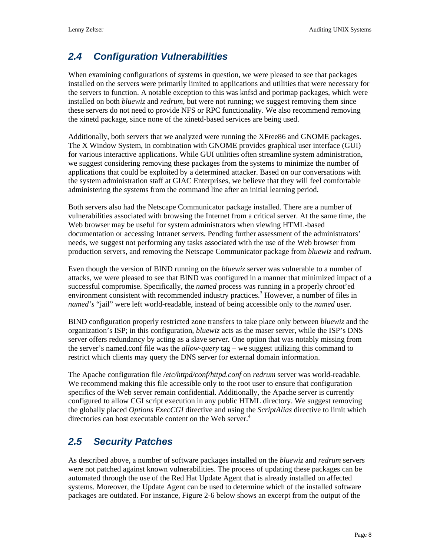## <span id="page-8-0"></span>*2.4 Configuration Vulnerabilities*

When examining configurations of systems in question, we were pleased to see that packages installed on the servers were primarily limited to applications and utilities that were necessary for the servers to function. A notable exception to this was knfsd and portmap packages, which were installed on both *bluewiz* and *redrum*, but were not running; we suggest removing them since these servers do not need to provide NFS or RPC functionality. We also recommend removing the xinetd package, since none of the xinetd-based services are being used.

Additionally, both servers that we analyzed were running the XFree86 and GNOME packages. The X Window System, in combination with GNOME provides graphical user interface (GUI) for various interactive applications. While GUI utilities often streamline system administration, we suggest considering removing these packages from the systems to minimize the number of applications that could be exploited by a determined attacker. Based on our conversations with the system administration staff at GIAC Enterprises, we believe that they will feel comfortable administering the systems from the command line after an initial learning period.

Both servers also had the Netscape Communicator package installed. There are a number of vulnerabilities associated with browsing the Internet from a critical server. At the same time, the Web browser may be useful for system administrators when viewing HTML-based documentation or accessing Intranet servers. Pending further assessment of the administrators' needs, we suggest not performing any tasks associated with the use of the Web browser from production servers, and removing the Netscape Communicator package from *bluewiz* and *redrum*.

Even though the version of BIND running on the *bluewiz* server was vulnerable to a number of attacks, we were pleased to see that BIND was configured in a manner that minimized impact of a successful compromise. Specifically, the *named* process was running in a properly chroot'ed environment consistent with recommended industry practices.<sup>3</sup> However, a number of files in *named's* "jail" were left world-readable, instead of being acce[ss](#page-18-2)ible only to the *named* user.

BIND configuration properly restricted zone transfers to take place only between *bluewiz* and the organization's ISP; in this configuration, *bluewiz* acts as the maser server, while the ISP's DNS server offers redundancy by acting as a slave server. One option that was notably missing from the server's named.conf file was the *allow-query* tag – we suggest utilizing this command to restrict which clients may query the DNS server for external domain information.

The Apache configuration file */etc/httpd/conf/httpd.conf* on *redrum* server was world-readable. We recommend making this file accessible only to the root user to ensure that configuration specifics of the Web server remain confidential. Additionally, the Apache server is currently configured to allow CGI script execution in any public HTML directory. We suggest removing the globally placed *Options ExecCGI* directive and using the *ScriptAlias* directive to limit which directories can host executable content on the Web server.<sup>4</sup>

## *2.5 Security Patches*

As described above, a number of software packages installed on the *bluewiz* and *redrum* servers were not patched against known vulnerabilities. The process of updating these packages can be automated through the use of the Red Hat Update Agent that is already installed on affected systems. Moreover, the Update Agent can be used to determine which of the installed software packages are outdated. For instance, Figure 2-6 below shows an excerpt from the output of the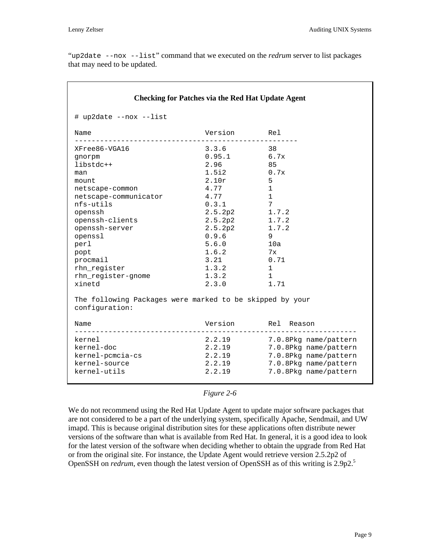"up2date --nox --list" command that we executed on the *redrum* server to list packages that may need to be updated.

| <b>Checking for Patches via the Red Hat Update Agent</b>                   |               |                              |  |
|----------------------------------------------------------------------------|---------------|------------------------------|--|
| # up2date --nox --list                                                     |               |                              |  |
| Name                                                                       | Version Rel   |                              |  |
| XFree86-VGA16                                                              | $3.3.6$ 38    |                              |  |
| qnorpm                                                                     | $0.95.1$ 6.7x |                              |  |
| libstdc++                                                                  | 2.96          | 85                           |  |
| man                                                                        | $1.5i2$ 0.7x  |                              |  |
| mount                                                                      | 2.10r         | 5                            |  |
| netscape-common                                                            | 4.77          | $\mathbf{1}$                 |  |
| netscape-communicator                                                      | 4.77          | $\mathbf{1}$                 |  |
| nfs-utils                                                                  | 0.3.1         | $7\overline{ }$              |  |
| openssh                                                                    | 2.5.2p2       | 1.7.2                        |  |
| openssh-clients                                                            | 2.5.2p2       | 1.7.2                        |  |
| openssh-server                                                             | 2.5.2p2       | 1.7.2                        |  |
| openssl                                                                    | 0.9.6         | 9                            |  |
| perl                                                                       | 5.6.0         | 10a                          |  |
| popt                                                                       | 1.6.2         | 7x                           |  |
| procmail                                                                   | 3.21          | 0.71                         |  |
| rhn_register                                                               | 1.3.2         | $\mathbf{1}$                 |  |
| rhn_register-gnome                                                         | 1.3.2         | $\overline{1}$               |  |
| xinetd                                                                     | 2.3.0         | 1.71                         |  |
| The following Packages were marked to be skipped by your<br>configuration: |               |                              |  |
| Name<br>---------------------------                                        |               | Version Rel Reason           |  |
| kernel                                                                     |               | 2.2.19 7.0.8Pkg name/pattern |  |
| kernel-doc                                                                 | 2.2.19        | 7.0.8Pkg name/pattern        |  |
| kernel-pcmcia-cs                                                           | 2.2.19        | 7.0.8Pkg name/pattern        |  |
| kernel-source                                                              | 2.2.19        | 7.0.8Pkg name/pattern        |  |
| kernel-utils                                                               | 2.2.19        | 7.0.8Pkg name/pattern        |  |
|                                                                            |               |                              |  |

#### *Figure 2-6*

We do not recommend using the Red Hat Update Agent to update major software packages that are not considered to be a part of the underlying system, specifically Apache, Sendmail, and UW imapd. This is because original distribution sites for these applications often distribute newer versions of the software than what is available from Red Hat. In general, it is a good idea to look for the latest version of the software when deciding whether to obtain the upgrade from Red Hat or from the original site. For instance, the Update Agent would retrieve version 2.5.2p2 of OpenSSH on *redrum*, even though the latest version of OpenSSH as of this writing is 2[.](#page-18-4)9p2.<sup>5</sup>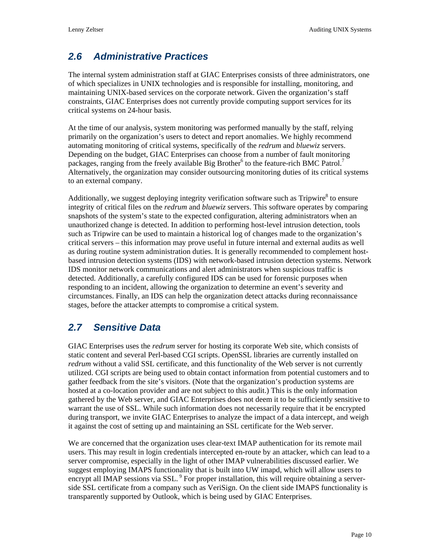#### <span id="page-10-0"></span>*2.6 Administrative Practices*

The internal system administration staff at GIAC Enterprises consists of three administrators, one of which specializes in UNIX technologies and is responsible for installing, monitoring, and maintaining UNIX-based services on the corporate network. Given the organization's staff constraints, GIAC Enterprises does not currently provide computing support services for its critical systems on 24-hour basis.

At the time of our analysis, system monitoring was performed manually by the staff, relying primarily on the organization's users to detect and report anomalies. We highly recommend automating monitoring of critical systems, specifically of the *redrum* and *bluewiz* servers. Depending on the budget, GIAC Enterprises can choose from a number of fault monitoring packages, ranging from the freely available Big Brother<sup>6</sup> to the feature-rich BMC Patrol.<sup>7</sup> Alternatively, the organization may consider outsourcin[g](#page-18-5) monitoring duties of its critical [s](#page-18-6)ystems to an external company.

Additionally, we suggest deploying integrity verification software such as Tripwire $\delta$  to ensure integrity of critical files on the *redrum* and *bluewiz* servers. This software operates by comparing snapshots of the system's state to the expected configuration, altering administrators when an unauthorized change is detected. In addition to performing host-level intrusion detection, tools such as Tripwire can be used to maintain a historical log of changes made to the organization's critical servers – this information may prove useful in future internal and external audits as well as during routine system administration duties. It is generally recommended to complement hostbased intrusion detection systems (IDS) with network-based intrusion detection systems. Network IDS monitor network communications and alert administrators when suspicious traffic is detected. Additionally, a carefully configured IDS can be used for forensic purposes when responding to an incident, allowing the organization to determine an event's severity and circumstances. Finally, an IDS can help the organization detect attacks during reconnaissance stages, before the attacker attempts to compromise a critical system.

#### *2.7 Sensitive Data*

GIAC Enterprises uses the *redrum* server for hosting its corporate Web site, which consists of static content and several Perl-based CGI scripts. OpenSSL libraries are currently installed on *redrum* without a valid SSL certificate, and this functionality of the Web server is not currently utilized. CGI scripts are being used to obtain contact information from potential customers and to gather feedback from the site's visitors. (Note that the organization's production systems are hosted at a co-location provider and are not subject to this audit.) This is the only information gathered by the Web server, and GIAC Enterprises does not deem it to be sufficiently sensitive to warrant the use of SSL. While such information does not necessarily require that it be encrypted during transport, we invite GIAC Enterprises to analyze the impact of a data intercept, and weigh it against the cost of setting up and maintaining an SSL certificate for the Web server.

We are concerned that the organization uses clear-text IMAP authentication for its remote mail users. This may result in login credentials intercepted en-route by an attacker, which can lead to a server compromise, especially in the light of other IMAP vulnerabilities discussed earlier. We suggest employing IMAPS functionality that is built into UW imapd, which will allow users to encrypt all IMAP sessions via SSL.<sup>9</sup> For proper installation, this will require obtaining a serverside SSL certificate from a compan[y s](#page-18-8)uch as VeriSign. On the client side IMAPS functionality is transparently supported by Outlook, which is being used by GIAC Enterprises.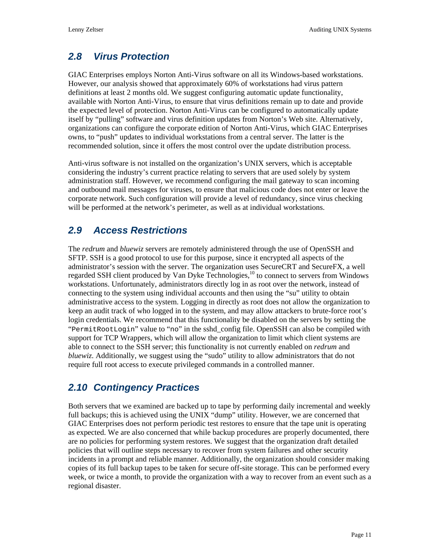#### <span id="page-11-0"></span>*2.8 Virus Protection*

GIAC Enterprises employs Norton Anti-Virus software on all its Windows-based workstations. However, our analysis showed that approximately 60% of workstations had virus pattern definitions at least 2 months old. We suggest configuring automatic update functionality, available with Norton Anti-Virus, to ensure that virus definitions remain up to date and provide the expected level of protection. Norton Anti-Virus can be configured to automatically update itself by "pulling" software and virus definition updates from Norton's Web site. Alternatively, organizations can configure the corporate edition of Norton Anti-Virus, which GIAC Enterprises owns, to "push" updates to individual workstations from a central server. The latter is the recommended solution, since it offers the most control over the update distribution process.

Anti-virus software is not installed on the organization's UNIX servers, which is acceptable considering the industry's current practice relating to servers that are used solely by system administration staff. However, we recommend configuring the mail gateway to scan incoming and outbound mail messages for viruses, to ensure that malicious code does not enter or leave the corporate network. Such configuration will provide a level of redundancy, since virus checking will be performed at the network's perimeter, as well as at individual workstations.

### *2.9 Access Restrictions*

The *redrum* and *bluewiz* servers are remotely administered through the use of OpenSSH and SFTP. SSH is a good protocol to use for this purpose, since it encrypted all aspects of the administrator's session with the server. The organization uses SecureCRT and SecureFX, a well regarded SSH client produced by Van Dyke Technologies,<sup>10</sup> to connect to servers from Windows workstations. Unfortunately, administrators directly log in [as](#page-18-9) root over the network, instead of connecting to the system using individual accounts and then using the "su" utility to obtain administrative access to the system. Logging in directly as root does not allow the organization to keep an audit track of who logged in to the system, and may allow attackers to brute-force root's login credentials. We recommend that this functionality be disabled on the servers by setting the "PermitRootLogin" value to "no" in the sshd\_config file. OpenSSH can also be compiled with support for TCP Wrappers, which will allow the organization to limit which client systems are able to connect to the SSH server; this functionality is not currently enabled on *redrum* and *bluewiz*. Additionally, we suggest using the "sudo" utility to allow administrators that do not require full root access to execute privileged commands in a controlled manner.

#### *2.10 Contingency Practices*

Both servers that we examined are backed up to tape by performing daily incremental and weekly full backups; this is achieved using the UNIX "dump" utility. However, we are concerned that GIAC Enterprises does not perform periodic test restores to ensure that the tape unit is operating as expected. We are also concerned that while backup procedures are properly documented, there are no policies for performing system restores. We suggest that the organization draft detailed policies that will outline steps necessary to recover from system failures and other security incidents in a prompt and reliable manner. Additionally, the organization should consider making copies of its full backup tapes to be taken for secure off-site storage. This can be performed every week, or twice a month, to provide the organization with a way to recover from an event such as a regional disaster.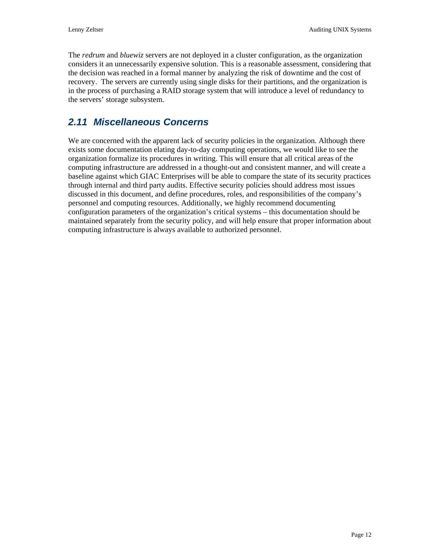<span id="page-12-0"></span>The *redrum* and *bluewiz* servers are not deployed in a cluster configuration, as the organization considers it an unnecessarily expensive solution. This is a reasonable assessment, considering that the decision was reached in a formal manner by analyzing the risk of downtime and the cost of recovery. The servers are currently using single disks for their partitions, and the organization is in the process of purchasing a RAID storage system that will introduce a level of redundancy to the servers' storage subsystem.

#### *2.11 Miscellaneous Concerns*

We are concerned with the apparent lack of security policies in the organization. Although there exists some documentation elating day-to-day computing operations, we would like to see the organization formalize its procedures in writing. This will ensure that all critical areas of the computing infrastructure are addressed in a thought-out and consistent manner, and will create a baseline against which GIAC Enterprises will be able to compare the state of its security practices through internal and third party audits. Effective security policies should address most issues discussed in this document, and define procedures, roles, and responsibilities of the company's personnel and computing resources. Additionally, we highly recommend documenting configuration parameters of the organization's critical systems – this documentation should be maintained separately from the security policy, and will help ensure that proper information about computing infrastructure is always available to authorized personnel.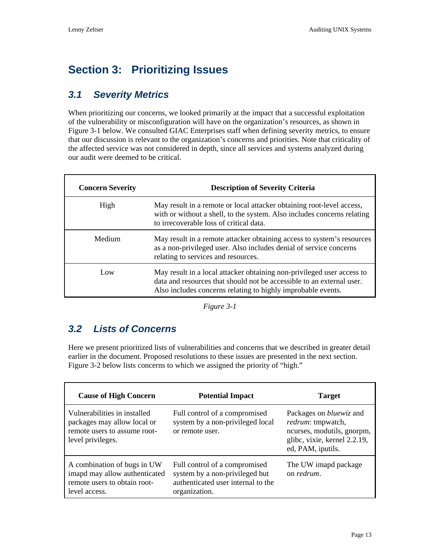# <span id="page-13-0"></span>**Section 3: Prioritizing Issues**

#### *3.1 Severity Metrics*

When prioritizing our concerns, we looked primarily at the impact that a successful exploitation of the vulnerability or misconfiguration will have on the organization's resources, as shown in Figure 3-1 below. We consulted GIAC Enterprises staff when defining severity metrics, to ensure [that our dis](#page-13-1)cussion is relevant to the organization's concerns and priorities. Note that criticality of the affected service was not considered in depth, since all services and systems analyzed during our audit were deemed to be critical.

| <b>Concern Severity</b> | <b>Description of Severity Criteria</b>                                                                                                                                                                         |  |
|-------------------------|-----------------------------------------------------------------------------------------------------------------------------------------------------------------------------------------------------------------|--|
| High                    | May result in a remote or local attacker obtaining root-level access,<br>with or without a shell, to the system. Also includes concerns relating<br>to irrecoverable loss of critical data.                     |  |
| Medium                  | May result in a remote attacker obtaining access to system's resources<br>as a non-privileged user. Also includes denial of service concerns<br>relating to services and resources.                             |  |
| Low                     | May result in a local attacker obtaining non-privileged user access to<br>data and resources that should not be accessible to an external user.<br>Also includes concerns relating to highly improbable events. |  |

<span id="page-13-1"></span>*Figure 3-1* 

#### *3.2 Lists of Concerns*

Here we present prioritized lists of vulnerabilities and concerns that we described in greater detail earlier in the document. Proposed resolutions to these issues are presented in the next section. [Figure 3-2](#page-14-0) below lists concerns to which we assigned the priority of "high."

| <b>Cause of High Concern</b>                                                                                     | <b>Potential Impact</b>                                                                                                | <b>Target</b>                                                                                                                                  |
|------------------------------------------------------------------------------------------------------------------|------------------------------------------------------------------------------------------------------------------------|------------------------------------------------------------------------------------------------------------------------------------------------|
| Vulnerabilities in installed<br>packages may allow local or<br>remote users to assume root-<br>level privileges. | Full control of a compromised<br>system by a non-privileged local<br>or remote user.                                   | Packages on <i>bluewiz</i> and<br><i>redrum</i> : tmpwatch,<br>ncurses, modutils, gnorpm,<br>glibc, vixie, kernel 2.2.19,<br>ed, PAM, iputils. |
| A combination of bugs in UW<br>imapd may allow authenticated<br>remote users to obtain root-<br>level access.    | Full control of a compromised<br>system by a non-privileged but<br>authenticated user internal to the<br>organization. | The UW imapd package<br>on <i>redrum</i> .                                                                                                     |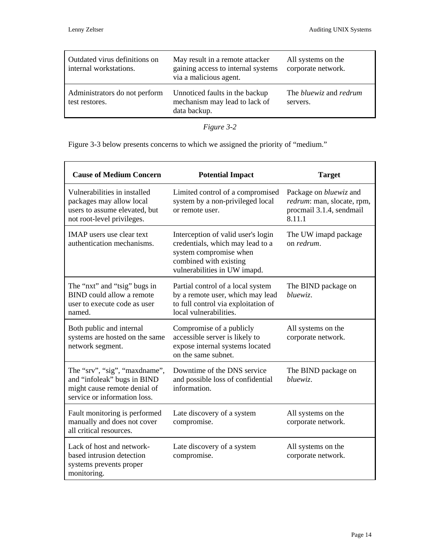| Outdated virus definitions on<br>internal workstations. | May result in a remote attacker<br>gaining access to internal systems<br>via a malicious agent. | All systems on the<br>corporate network.         |
|---------------------------------------------------------|-------------------------------------------------------------------------------------------------|--------------------------------------------------|
| Administrators do not perform<br>test restores.         | Unnoticed faults in the backup<br>mechanism may lead to lack of<br>data backup.                 | The <i>bluewiz</i> and <i>redrum</i><br>servers. |

<span id="page-14-0"></span>*Figure 3-2* 

[Figure 3-3](#page-15-0) below presents concerns to which we assigned the priority of "medium."

| <b>Cause of Medium Concern</b>                                                                                               | <b>Potential Impact</b>                                                                                                                                    | <b>Target</b>                                                                                     |
|------------------------------------------------------------------------------------------------------------------------------|------------------------------------------------------------------------------------------------------------------------------------------------------------|---------------------------------------------------------------------------------------------------|
| Vulnerabilities in installed<br>packages may allow local<br>users to assume elevated, but<br>not root-level privileges.      | Limited control of a compromised<br>system by a non-privileged local<br>or remote user.                                                                    | Package on <i>bluewiz</i> and<br>redrum: man, slocate, rpm,<br>procmail 3.1.4, sendmail<br>8.11.1 |
| <b>IMAP</b> users use clear text<br>authentication mechanisms.                                                               | Interception of valid user's login<br>credentials, which may lead to a<br>system compromise when<br>combined with existing<br>vulnerabilities in UW imapd. | The UW imapd package<br>on redrum.                                                                |
| The "nxt" and "tsig" bugs in<br><b>BIND</b> could allow a remote<br>user to execute code as user<br>named.                   | Partial control of a local system<br>by a remote user, which may lead<br>to full control via exploitation of<br>local vulnerabilities.                     | The BIND package on<br>bluewiz.                                                                   |
| Both public and internal<br>systems are hosted on the same<br>network segment.                                               | Compromise of a publicly<br>accessible server is likely to<br>expose internal systems located<br>on the same subnet.                                       | All systems on the<br>corporate network.                                                          |
| The "srv", "sig", "maxdname",<br>and "infoleak" bugs in BIND<br>might cause remote denial of<br>service or information loss. | Downtime of the DNS service<br>and possible loss of confidential<br>information.                                                                           | The BIND package on<br>bluewiz.                                                                   |
| Fault monitoring is performed<br>manually and does not cover<br>all critical resources.                                      | Late discovery of a system<br>compromise.                                                                                                                  | All systems on the<br>corporate network.                                                          |
| Lack of host and network-<br>based intrusion detection<br>systems prevents proper<br>monitoring.                             | Late discovery of a system<br>compromise.                                                                                                                  | All systems on the<br>corporate network.                                                          |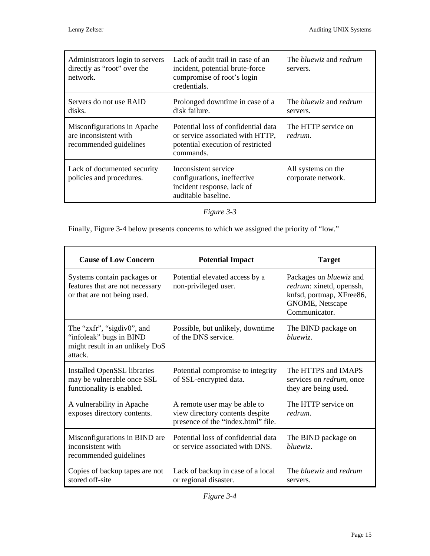| Administrators login to servers<br>directly as "root" over the<br>network.     | Lack of audit trail in case of an<br>incident, potential brute-force<br>compromise of root's login<br>credentials.        | The <i>bluewiz</i> and <i>redrum</i><br>servers. |
|--------------------------------------------------------------------------------|---------------------------------------------------------------------------------------------------------------------------|--------------------------------------------------|
| Servers do not use RAID<br>disks.                                              | Prolonged downtime in case of a<br>disk failure.                                                                          | The <i>bluewiz</i> and <i>redrum</i><br>servers. |
| Misconfigurations in Apache<br>are inconsistent with<br>recommended guidelines | Potential loss of confidential data<br>or service associated with HTTP,<br>potential execution of restricted<br>commands. | The HTTP service on<br>redrum.                   |
| Lack of documented security<br>policies and procedures.                        | Inconsistent service<br>configurations, ineffective<br>incident response, lack of<br>auditable baseline.                  | All systems on the<br>corporate network.         |

<span id="page-15-0"></span>*Figure 3-3* 

Finally, [Figure 3-4 b](#page-15-1)elow presents concerns to which we assigned the priority of "low."

<span id="page-15-1"></span>

| <b>Cause of Low Concern</b>                                                                         | <b>Potential Impact</b>                                                                               | <b>Target</b>                                                                                                              |  |
|-----------------------------------------------------------------------------------------------------|-------------------------------------------------------------------------------------------------------|----------------------------------------------------------------------------------------------------------------------------|--|
| Systems contain packages or<br>features that are not necessary<br>or that are not being used.       | Potential elevated access by a<br>non-privileged user.                                                | Packages on <i>bluewiz</i> and<br>redrum: xinetd, openssh,<br>knfsd, portmap, XFree86,<br>GNOME, Netscape<br>Communicator. |  |
| The "zxfr", "sigdiv0", and<br>"infoleak" bugs in BIND<br>might result in an unlikely DoS<br>attack. | Possible, but unlikely, downtime<br>of the DNS service.                                               | The BIND package on<br>bluewiz.                                                                                            |  |
| <b>Installed OpenSSL libraries</b><br>may be vulnerable once SSL<br>functionality is enabled.       | Potential compromise to integrity<br>of SSL-encrypted data.                                           | The HTTPS and IMAPS<br>services on <i>redrum</i> , once<br>they are being used.                                            |  |
| A vulnerability in Apache<br>exposes directory contents.                                            | A remote user may be able to<br>view directory contents despite<br>presence of the "index.html" file. | The HTTP service on<br>redrum.                                                                                             |  |
| Misconfigurations in BIND are<br>inconsistent with<br>recommended guidelines                        | Potential loss of confidential data<br>or service associated with DNS.                                | The BIND package on<br>bluewiz.                                                                                            |  |
| Copies of backup tapes are not<br>stored off-site                                                   | Lack of backup in case of a local<br>or regional disaster.                                            | The <i>bluewiz</i> and <i>redrum</i><br>servers.                                                                           |  |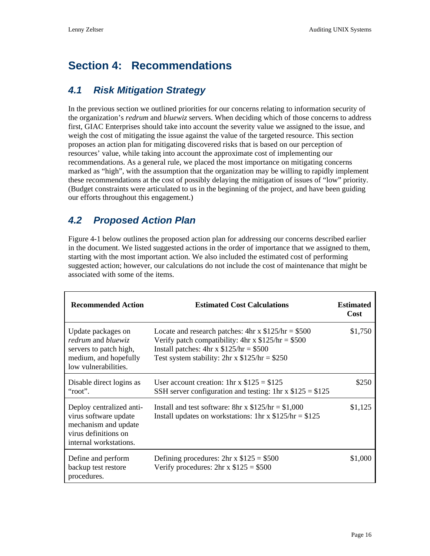# <span id="page-16-1"></span><span id="page-16-0"></span>**Section 4: Recommendations**

#### *4.1 Risk Mitigation Strategy*

In the previous section we outlined priorities for our concerns relating to information security of the organization's *redrum* and *bluewiz* servers. When deciding which of those concerns to address first, GIAC Enterprises should take into account the severity value we assigned to the issue, and weigh the cost of mitigating the issue against the value of the targeted resource. This section proposes an action plan for mitigating discovered risks that is based on our perception of resources' value, while taking into account the approximate cost of implementing our recommendations. As a general rule, we placed the most importance on mitigating concerns marked as "high", with the assumption that the organization may be willing to rapidly implement these recommendations at the cost of possibly delaying the mitigation of issues of "low" priority. (Budget constraints were articulated to us in the beginning of the project, and have been guiding our efforts throughout this engagement.)

#### *4.2 Proposed Action Plan*

[Figure 4-1](#page-17-0) below outlines the proposed action plan for addressing our concerns described earlier in the document. We listed suggested actions in the order of importance that we assigned to them, starting with the most important action. We also included the estimated cost of performing suggested action; however, our calculations do not include the cost of maintenance that might be associated with some of the items.

| <b>Recommended Action</b>                                                                                                   | <b>Estimated Cost Calculations</b>                                                                                                                                                                                        | <b>Estimated</b><br>Cost |
|-----------------------------------------------------------------------------------------------------------------------------|---------------------------------------------------------------------------------------------------------------------------------------------------------------------------------------------------------------------------|--------------------------|
| Update packages on<br>redrum and bluewiz<br>servers to patch high,<br>medium, and hopefully<br>low vulnerabilities.         | Locate and research patches: $4hr \times $125/hr = $500$<br>Verify patch compatibility: $4hr \times $125/hr = $500$<br>Install patches: $4hr \times $125/hr = $500$<br>Test system stability: $2hr \times $125/hr = $250$ | \$1,750                  |
| Disable direct logins as<br>"root".                                                                                         | User account creation: 1hr x $$125 = $125$<br>SSH server configuration and testing: 1hr x $$125 = $125$                                                                                                                   | \$250                    |
| Deploy centralized anti-<br>virus software update<br>mechanism and update<br>virus definitions on<br>internal workstations. | Install and test software: 8hr x $$125/hr = $1,000$<br>Install updates on workstations: 1hr x $$125/hr = $125$                                                                                                            | \$1,125                  |
| Define and perform<br>backup test restore<br>procedures.                                                                    | Defining procedures: $2hr \times $125 = $500$<br>Verify procedures: $2hr \times $125 = $500$                                                                                                                              | \$1,000                  |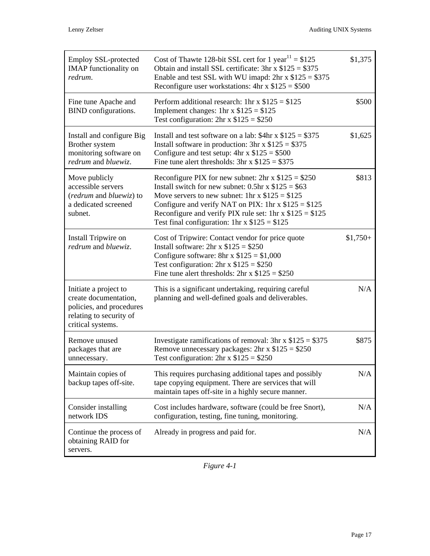| Employ SSL-protected<br><b>IMAP</b> functionality on<br>redrum.                                                            | Cost of Thawte 128-bit SSL cert for 1 year <sup>11</sup> = $$125$<br>Obtain and install SSL certificate: $3hr \times $125 = $375$<br>Enable and test SSL with WU imapd: $2hr \times $125 = $375$<br>Reconfigure user workstations: $4hr \times $125 = $500$                                                                                | \$1,375   |
|----------------------------------------------------------------------------------------------------------------------------|--------------------------------------------------------------------------------------------------------------------------------------------------------------------------------------------------------------------------------------------------------------------------------------------------------------------------------------------|-----------|
| Fine tune Apache and<br>BIND configurations.                                                                               | Perform additional research: 1hr x $$125 = $125$<br>Implement changes: 1hr x $$125 = $125$<br>Test configuration: $2hr \times $125 = $250$                                                                                                                                                                                                 | \$500     |
| Install and configure Big<br>Brother system<br>monitoring software on<br>redrum and bluewiz.                               | Install and test software on a lab: $$4hr \times $125 = $375$<br>Install software in production: $3hr \times $125 = $375$<br>Configure and test setup: $4hr \times $125 = $500$<br>Fine tune alert thresholds: $3hr \times $125 = $375$                                                                                                    | \$1,625   |
| Move publicly<br>accessible servers<br>(redrum and bluewiz) to<br>a dedicated screened<br>subnet.                          | Reconfigure PIX for new subnet: $2hr \times $125 = $250$<br>Install switch for new subnet: $0.5$ hr x $$125 = $63$<br>Move servers to new subnet: 1hr x $$125 = $125$<br>Configure and verify NAT on PIX: 1hr x $$125 = $125$<br>Reconfigure and verify PIX rule set: 1hr x $$125 = $125$<br>Test final configuration: 1hr x $$125 = $125$ | \$813     |
| Install Tripwire on<br>redrum and bluewiz.                                                                                 | Cost of Tripwire: Contact vendor for price quote<br>Install software: $2hr \times $125 = $250$<br>Configure software: $8hr \times $125 = $1,000$<br>Test configuration: $2hr \times $125 = $250$<br>Fine tune alert thresholds: $2hr \times $125 = $250$                                                                                   | $$1,750+$ |
| Initiate a project to<br>create documentation,<br>policies, and procedures<br>relating to security of<br>critical systems. | This is a significant undertaking, requiring careful<br>planning and well-defined goals and deliverables.                                                                                                                                                                                                                                  | N/A       |
| Remove unused<br>packages that are<br>unnecessary.                                                                         | Investigate ramifications of removal: $3hr \times $125 = $375$<br>Remove unnecessary packages: $2hr \times $125 = $250$<br>Test configuration: $2hr \times $125 = $250$                                                                                                                                                                    | \$875     |
| Maintain copies of<br>backup tapes off-site.                                                                               | This requires purchasing additional tapes and possibly<br>tape copying equipment. There are services that will<br>maintain tapes off-site in a highly secure manner.                                                                                                                                                                       | N/A       |
| Consider installing<br>network IDS                                                                                         | Cost includes hardware, software (could be free Snort),<br>configuration, testing, fine tuning, monitoring.                                                                                                                                                                                                                                | N/A       |
| Continue the process of<br>obtaining RAID for<br>servers.                                                                  | Already in progress and paid for.                                                                                                                                                                                                                                                                                                          | N/A       |

<span id="page-17-0"></span>*Figure 4-1*